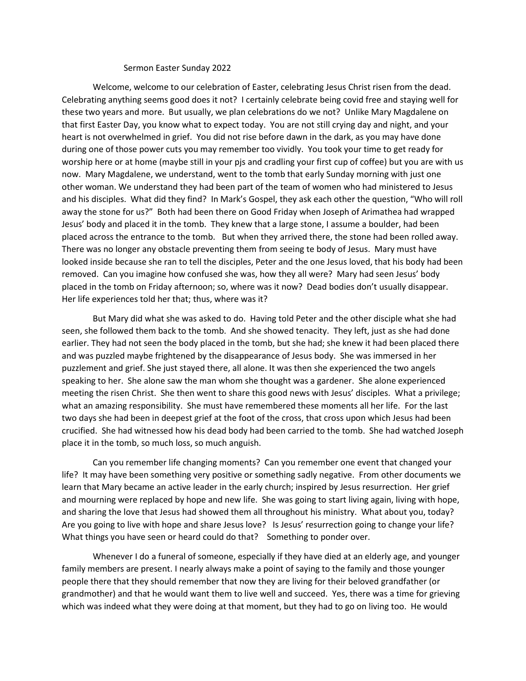## Sermon Easter Sunday 2022

Welcome, welcome to our celebration of Easter, celebrating Jesus Christ risen from the dead. Celebrating anything seems good does it not? I certainly celebrate being covid free and staying well for these two years and more. But usually, we plan celebrations do we not? Unlike Mary Magdalene on that first Easter Day, you know what to expect today. You are not still crying day and night, and your heart is not overwhelmed in grief. You did not rise before dawn in the dark, as you may have done during one of those power cuts you may remember too vividly. You took your time to get ready for worship here or at home (maybe still in your pjs and cradling your first cup of coffee) but you are with us now. Mary Magdalene, we understand, went to the tomb that early Sunday morning with just one other woman. We understand they had been part of the team of women who had ministered to Jesus and his disciples. What did they find? In Mark's Gospel, they ask each other the question, "Who will roll away the stone for us?" Both had been there on Good Friday when Joseph of Arimathea had wrapped Jesus' body and placed it in the tomb. They knew that a large stone, I assume a boulder, had been placed across the entrance to the tomb. But when they arrived there, the stone had been rolled away. There was no longer any obstacle preventing them from seeing te body of Jesus. Mary must have looked inside because she ran to tell the disciples, Peter and the one Jesus loved, that his body had been removed. Can you imagine how confused she was, how they all were? Mary had seen Jesus' body placed in the tomb on Friday afternoon; so, where was it now? Dead bodies don't usually disappear. Her life experiences told her that; thus, where was it?

But Mary did what she was asked to do. Having told Peter and the other disciple what she had seen, she followed them back to the tomb. And she showed tenacity. They left, just as she had done earlier. They had not seen the body placed in the tomb, but she had; she knew it had been placed there and was puzzled maybe frightened by the disappearance of Jesus body. She was immersed in her puzzlement and grief. She just stayed there, all alone. It was then she experienced the two angels speaking to her. She alone saw the man whom she thought was a gardener. She alone experienced meeting the risen Christ. She then went to share this good news with Jesus' disciples. What a privilege; what an amazing responsibility. She must have remembered these moments all her life. For the last two days she had been in deepest grief at the foot of the cross, that cross upon which Jesus had been crucified. She had witnessed how his dead body had been carried to the tomb. She had watched Joseph place it in the tomb, so much loss, so much anguish.

Can you remember life changing moments? Can you remember one event that changed your life? It may have been something very positive or something sadly negative. From other documents we learn that Mary became an active leader in the early church; inspired by Jesus resurrection. Her grief and mourning were replaced by hope and new life. She was going to start living again, living with hope, and sharing the love that Jesus had showed them all throughout his ministry. What about you, today? Are you going to live with hope and share Jesus love? Is Jesus' resurrection going to change your life? What things you have seen or heard could do that? Something to ponder over.

Whenever I do a funeral of someone, especially if they have died at an elderly age, and younger family members are present. I nearly always make a point of saying to the family and those younger people there that they should remember that now they are living for their beloved grandfather (or grandmother) and that he would want them to live well and succeed. Yes, there was a time for grieving which was indeed what they were doing at that moment, but they had to go on living too. He would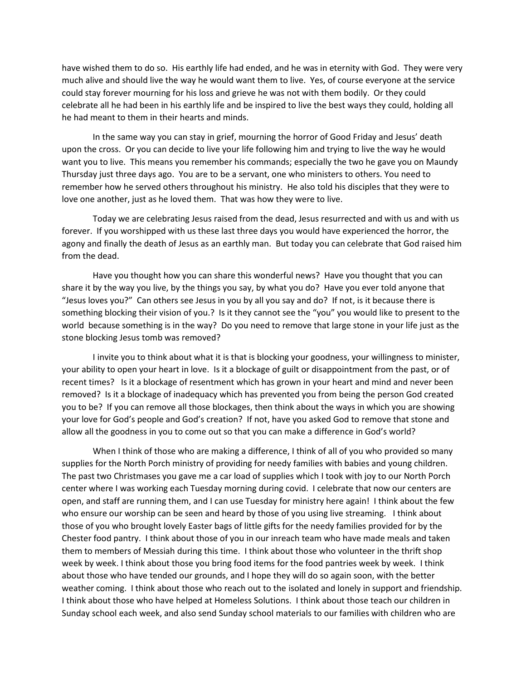have wished them to do so. His earthly life had ended, and he was in eternity with God. They were very much alive and should live the way he would want them to live. Yes, of course everyone at the service could stay forever mourning for his loss and grieve he was not with them bodily. Or they could celebrate all he had been in his earthly life and be inspired to live the best ways they could, holding all he had meant to them in their hearts and minds.

In the same way you can stay in grief, mourning the horror of Good Friday and Jesus' death upon the cross. Or you can decide to live your life following him and trying to live the way he would want you to live. This means you remember his commands; especially the two he gave you on Maundy Thursday just three days ago. You are to be a servant, one who ministers to others. You need to remember how he served others throughout his ministry. He also told his disciples that they were to love one another, just as he loved them. That was how they were to live.

Today we are celebrating Jesus raised from the dead, Jesus resurrected and with us and with us forever. If you worshipped with us these last three days you would have experienced the horror, the agony and finally the death of Jesus as an earthly man. But today you can celebrate that God raised him from the dead.

Have you thought how you can share this wonderful news? Have you thought that you can share it by the way you live, by the things you say, by what you do? Have you ever told anyone that "Jesus loves you?" Can others see Jesus in you by all you say and do? If not, is it because there is something blocking their vision of you.? Is it they cannot see the "you" you would like to present to the world because something is in the way? Do you need to remove that large stone in your life just as the stone blocking Jesus tomb was removed?

I invite you to think about what it is that is blocking your goodness, your willingness to minister, your ability to open your heart in love. Is it a blockage of guilt or disappointment from the past, or of recent times? Is it a blockage of resentment which has grown in your heart and mind and never been removed? Is it a blockage of inadequacy which has prevented you from being the person God created you to be? If you can remove all those blockages, then think about the ways in which you are showing your love for God's people and God's creation? If not, have you asked God to remove that stone and allow all the goodness in you to come out so that you can make a difference in God's world?

When I think of those who are making a difference, I think of all of you who provided so many supplies for the North Porch ministry of providing for needy families with babies and young children. The past two Christmases you gave me a car load of supplies which I took with joy to our North Porch center where I was working each Tuesday morning during covid. I celebrate that now our centers are open, and staff are running them, and I can use Tuesday for ministry here again! I think about the few who ensure our worship can be seen and heard by those of you using live streaming. I think about those of you who brought lovely Easter bags of little gifts for the needy families provided for by the Chester food pantry. I think about those of you in our inreach team who have made meals and taken them to members of Messiah during this time. I think about those who volunteer in the thrift shop week by week. I think about those you bring food items for the food pantries week by week. I think about those who have tended our grounds, and I hope they will do so again soon, with the better weather coming. I think about those who reach out to the isolated and lonely in support and friendship. I think about those who have helped at Homeless Solutions. I think about those teach our children in Sunday school each week, and also send Sunday school materials to our families with children who are